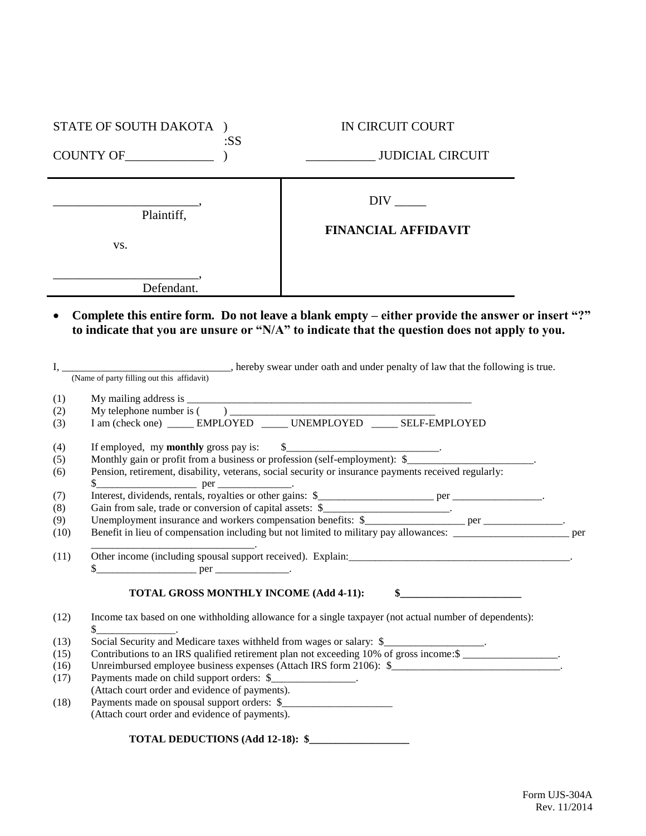|      | STATE OF SOUTH DAKOTA )                          | :SS | IN CIRCUIT COURT                                                                                                                                                                                                                                                                                                               |  |
|------|--------------------------------------------------|-----|--------------------------------------------------------------------------------------------------------------------------------------------------------------------------------------------------------------------------------------------------------------------------------------------------------------------------------|--|
|      |                                                  |     |                                                                                                                                                                                                                                                                                                                                |  |
|      | Plaintiff,<br>VS.                                |     | $DIV$ <sub>_____</sub><br><b>FINANCIAL AFFIDAVIT</b>                                                                                                                                                                                                                                                                           |  |
|      | Defendant.                                       |     |                                                                                                                                                                                                                                                                                                                                |  |
|      |                                                  |     | Complete this entire form. Do not leave a blank empty – either provide the answer or insert "?"<br>to indicate that you are unsure or "N/A" to indicate that the question does not apply to you.<br>I, (Name of party filling out this affidavit) energy swear under oath and under penalty of law that the following is true. |  |
|      |                                                  |     |                                                                                                                                                                                                                                                                                                                                |  |
| (1)  |                                                  |     |                                                                                                                                                                                                                                                                                                                                |  |
| (2)  |                                                  |     |                                                                                                                                                                                                                                                                                                                                |  |
| (3)  |                                                  |     |                                                                                                                                                                                                                                                                                                                                |  |
| (4)  |                                                  |     |                                                                                                                                                                                                                                                                                                                                |  |
| (5)  |                                                  |     | If employed, my <b>monthly</b> gross pay is: \$<br>Monthly gain or profit from a business or profession (self-employment): \$                                                                                                                                                                                                  |  |
| (6)  | $\frac{\text{S}}{\text{S}}$ per _______________. |     | Pension, retirement, disability, veterans, social security or insurance payments received regularly:                                                                                                                                                                                                                           |  |
| (7)  |                                                  |     |                                                                                                                                                                                                                                                                                                                                |  |
| (8)  |                                                  |     | Gain from sale, trade or conversion of capital assets: \$________________________.                                                                                                                                                                                                                                             |  |
| (9)  |                                                  |     |                                                                                                                                                                                                                                                                                                                                |  |
| (10) |                                                  |     | Benefit in lieu of compensation including but not limited to military pay allowances: __________________________ per                                                                                                                                                                                                           |  |
| (11) |                                                  |     | Other income (including spousal support received). Explain:<br><u>Landing</u> Spousal support received). Explain:<br>Landing Spousal Support received). Explain:                                                                                                                                                               |  |
|      |                                                  |     |                                                                                                                                                                                                                                                                                                                                |  |
|      | TOTAL GROSS MONTHLY INCOME (Add 4-11):           |     | \$                                                                                                                                                                                                                                                                                                                             |  |
|      |                                                  |     |                                                                                                                                                                                                                                                                                                                                |  |
| (12) |                                                  |     | Income tax based on one withholding allowance for a single taxpayer (not actual number of dependents):                                                                                                                                                                                                                         |  |
| (13) |                                                  |     | Social Security and Medicare taxes withheld from wages or salary: \$                                                                                                                                                                                                                                                           |  |
| (15) |                                                  |     | Contributions to an IRS qualified retirement plan not exceeding 10% of gross income: \$                                                                                                                                                                                                                                        |  |
| (16) |                                                  |     | Unreimbursed employee business expenses (Attach IRS form 2106): \$                                                                                                                                                                                                                                                             |  |
| (17) | Payments made on child support orders: \$        |     |                                                                                                                                                                                                                                                                                                                                |  |
|      | (Attach court order and evidence of payments).   |     |                                                                                                                                                                                                                                                                                                                                |  |
| (18) | (Attach court order and evidence of payments).   |     |                                                                                                                                                                                                                                                                                                                                |  |
|      |                                                  |     |                                                                                                                                                                                                                                                                                                                                |  |
|      | TOTAL DEDUCTIONS (Add 12-18): \$                 |     |                                                                                                                                                                                                                                                                                                                                |  |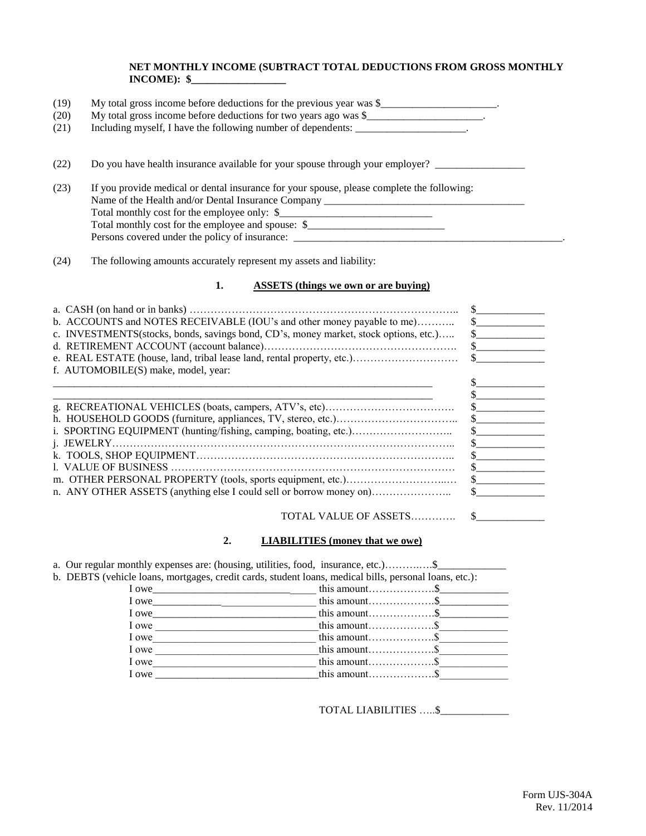## **NET MONTHLY INCOME (SUBTRACT TOTAL DEDUCTIONS FROM GROSS MONTHLY INCOME): \$\_\_\_\_\_\_\_\_\_\_\_\_\_\_\_\_\_\_**

| (19) | My total gross income before deductions for the previous year was \$                                                                                                            |  |  |  |  |
|------|---------------------------------------------------------------------------------------------------------------------------------------------------------------------------------|--|--|--|--|
| (20) | My total gross income before deductions for two years ago was \$                                                                                                                |  |  |  |  |
| (21) | Including myself, I have the following number of dependents:                                                                                                                    |  |  |  |  |
| (22) | Do you have health insurance available for your spouse through your employer?                                                                                                   |  |  |  |  |
| (23) | If you provide medical or dental insurance for your spouse, please complete the following:<br>Name of the Health and/or Dental Insurance Company ______________________________ |  |  |  |  |
|      | Total monthly cost for the employee only: \$                                                                                                                                    |  |  |  |  |
|      | Total monthly cost for the employee and spouse: \$________________________________                                                                                              |  |  |  |  |
|      | Persons covered under the policy of insurance: __________________________________                                                                                               |  |  |  |  |

(24) The following amounts accurately represent my assets and liability:

## **1. ASSETS (things we own or are buying)**

| b. ACCOUNTS and NOTES RECEIVABLE (IOU's and other money payable to me)               |  |
|--------------------------------------------------------------------------------------|--|
| c. INVESTMENTS(stocks, bonds, savings bond, CD's, money market, stock options, etc.) |  |
|                                                                                      |  |
| e. REAL ESTATE (house, land, tribal lease land, rental property, etc.)               |  |
| f. AUTOMOBILE(S) make, model, year:                                                  |  |
|                                                                                      |  |
|                                                                                      |  |
|                                                                                      |  |
|                                                                                      |  |
|                                                                                      |  |
|                                                                                      |  |
|                                                                                      |  |
|                                                                                      |  |
|                                                                                      |  |
| n. ANY OTHER ASSETS (anything else I could sell or borrow money on)                  |  |
|                                                                                      |  |

## **2. LIABILITIES (money that we owe)**

|       | b. DEBTS (vehicle loans, mortgages, credit cards, student loans, medical bills, personal loans, etc.): |
|-------|--------------------------------------------------------------------------------------------------------|
| I owe |                                                                                                        |
| I owe |                                                                                                        |
| I owe |                                                                                                        |
| I owe |                                                                                                        |
| I owe |                                                                                                        |
| I owe |                                                                                                        |
| I owe |                                                                                                        |
| I owe |                                                                                                        |

TOTAL LIABILITIES …..\$\_\_\_\_\_\_\_\_\_\_\_\_\_